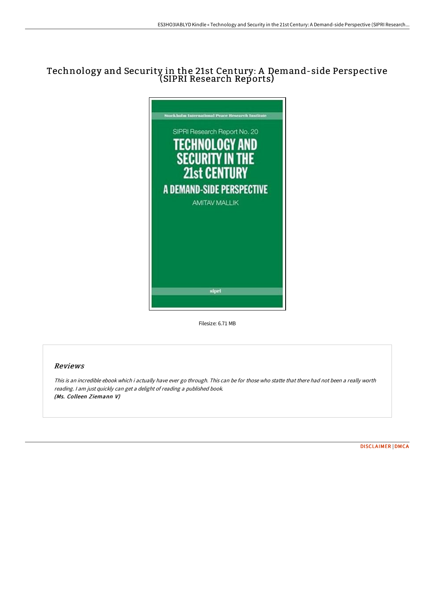# Technology and Security in the 21st Century: A Demand-side Perspective (SIPRI Research Reports)



Filesize: 6.71 MB

## Reviews

This is an incredible ebook which i actually have ever go through. This can be for those who statte that there had not been <sup>a</sup> really worth reading. <sup>I</sup> am just quickly can get <sup>a</sup> delight of reading <sup>a</sup> published book. (Ms. Colleen Ziemann V)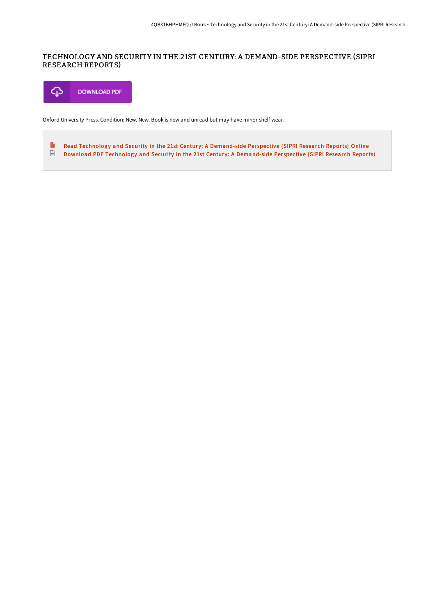### TECHNOLOGY AND SECURITY IN THE 21ST CENTURY: A DEMAND-SIDE PERSPECTIVE (SIPRI RESEARCH REPORTS)



Oxford University Press. Condition: New. New. Book is new and unread but may have minor shelf wear.

E Read Technology and Security in the 21st Century: A [Demand-side](http://techno-pub.tech/technology-and-security-in-the-21st-century-a-de.html) Perspective (SIPRI Research Reports) Online  $\overline{\mathbb{R}^n}$ Download PDF Technology and Security in the 21st Century: A [Demand-side](http://techno-pub.tech/technology-and-security-in-the-21st-century-a-de.html) Perspective (SIPRI Research Reports)